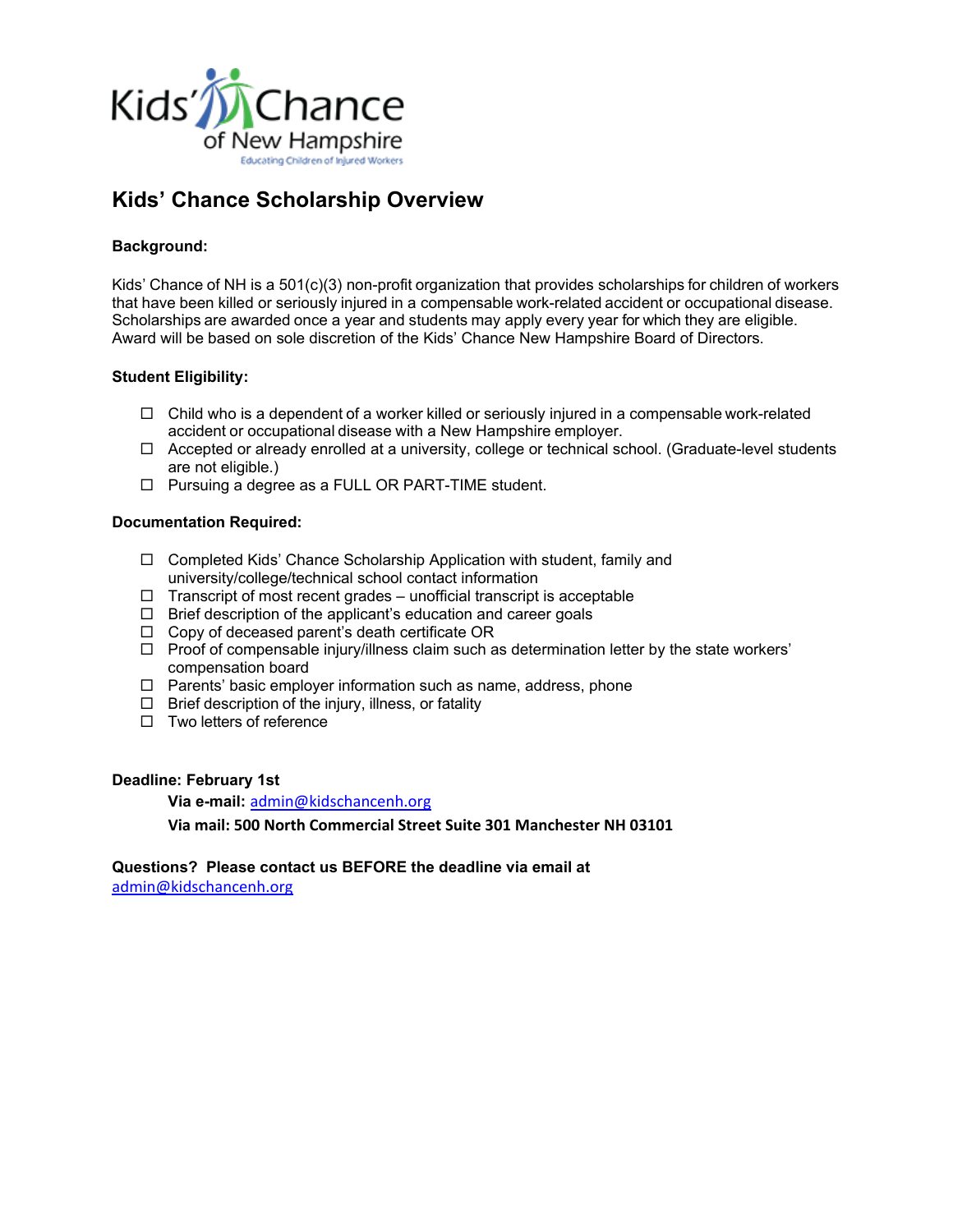

# **Kids' Chance Scholarship Overview**

# **Background:**

Kids' Chance of NH is a 501(c)(3) non-profit organization that provides scholarships for children of workers that have been killed or seriously injured in a compensable work-related accident or occupational disease. Scholarships are awarded once a year and students may apply every year for which they are eligible. Award will be based on sole discretion of the Kids' Chance New Hampshire Board of Directors.

# **Student Eligibility:**

- $\Box$  Child who is a dependent of a worker killed or seriously injured in a compensable work-related accident or occupational disease with a New Hampshire employer.
- $\Box$  Accepted or already enrolled at a university, college or technical school. (Graduate-level students are not eligible.)
- □ Pursuing a degree as a FULL OR PART-TIME student.

# **Documentation Required:**

- $\Box$  Completed Kids' Chance Scholarship Application with student, family and university/college/technical school contact information
- $\Box$  Transcript of most recent grades unofficial transcript is acceptable
- $\Box$  Brief description of the applicant's education and career goals
- $\Box$  Copy of deceased parent's death certificate OR
- $\Box$  Proof of compensable injury/illness claim such as determination letter by the state workers' compensation board
- $\Box$  Parents' basic employer information such as name, address, phone
- $\Box$  Brief description of the injury, illness, or fatality
- $\Box$  Two letters of reference

# **Deadline: February 1st**

**Via e-mail:** [admin@kidschancenh.org](mailto:admin@kidschancenh.org)

**Via mail: 500 North Commercial Street Suite 301 Manchester NH 03101**

**Questions? Please contact us BEFORE the deadline via email at** [admin@kidschancenh.org](mailto:admin@kidschancenh.org)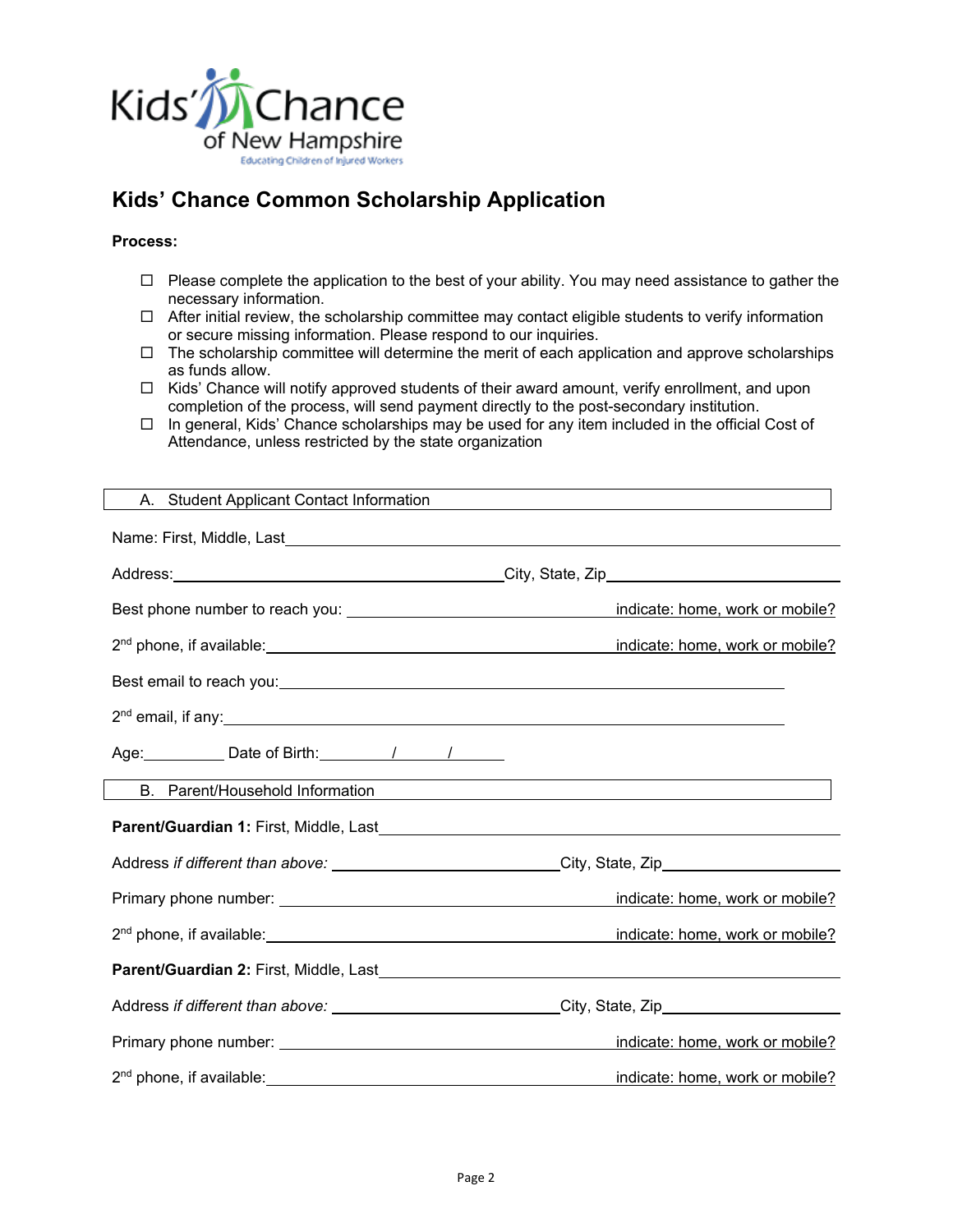

# **Kids' Chance Common Scholarship Application**

### **Process:**

- $\Box$  Please complete the application to the best of your ability. You may need assistance to gather the necessary information.
- $\Box$  After initial review, the scholarship committee may contact eligible students to verify information or secure missing information. Please respond to our inquiries.
- $\Box$  The scholarship committee will determine the merit of each application and approve scholarships as funds allow.
- $\Box$  Kids' Chance will notify approved students of their award amount, verify enrollment, and upon completion of the process, will send payment directly to the post-secondary institution.
- $\Box$  In general, Kids' Chance scholarships may be used for any item included in the official Cost of Attendance, unless restricted by the state organization

| A. Student Applicant Contact Information                                                                                                                                                                                                       |                                 |
|------------------------------------------------------------------------------------------------------------------------------------------------------------------------------------------------------------------------------------------------|---------------------------------|
|                                                                                                                                                                                                                                                |                                 |
|                                                                                                                                                                                                                                                |                                 |
|                                                                                                                                                                                                                                                | indicate: home, work or mobile? |
| 2 <sup>nd</sup> phone, if available: <u>contained a set of the set of the set of the set of the set of the set of the set of the set of the set of the set of the set of the set of the set of the set of the set of the set of the set of</u> | indicate: home, work or mobile? |
|                                                                                                                                                                                                                                                |                                 |
|                                                                                                                                                                                                                                                |                                 |
| Age: Date of Birth: 1 1                                                                                                                                                                                                                        |                                 |
|                                                                                                                                                                                                                                                |                                 |
|                                                                                                                                                                                                                                                |                                 |
| Address if different than above: ______________________________City, State, Zip_____________________                                                                                                                                           |                                 |
|                                                                                                                                                                                                                                                | indicate: home, work or mobile? |
|                                                                                                                                                                                                                                                | indicate: home, work or mobile? |
|                                                                                                                                                                                                                                                |                                 |
| Address if different than above: _____________________________City, State, Zip______________________                                                                                                                                           |                                 |
|                                                                                                                                                                                                                                                | indicate: home, work or mobile? |
|                                                                                                                                                                                                                                                | indicate: home, work or mobile? |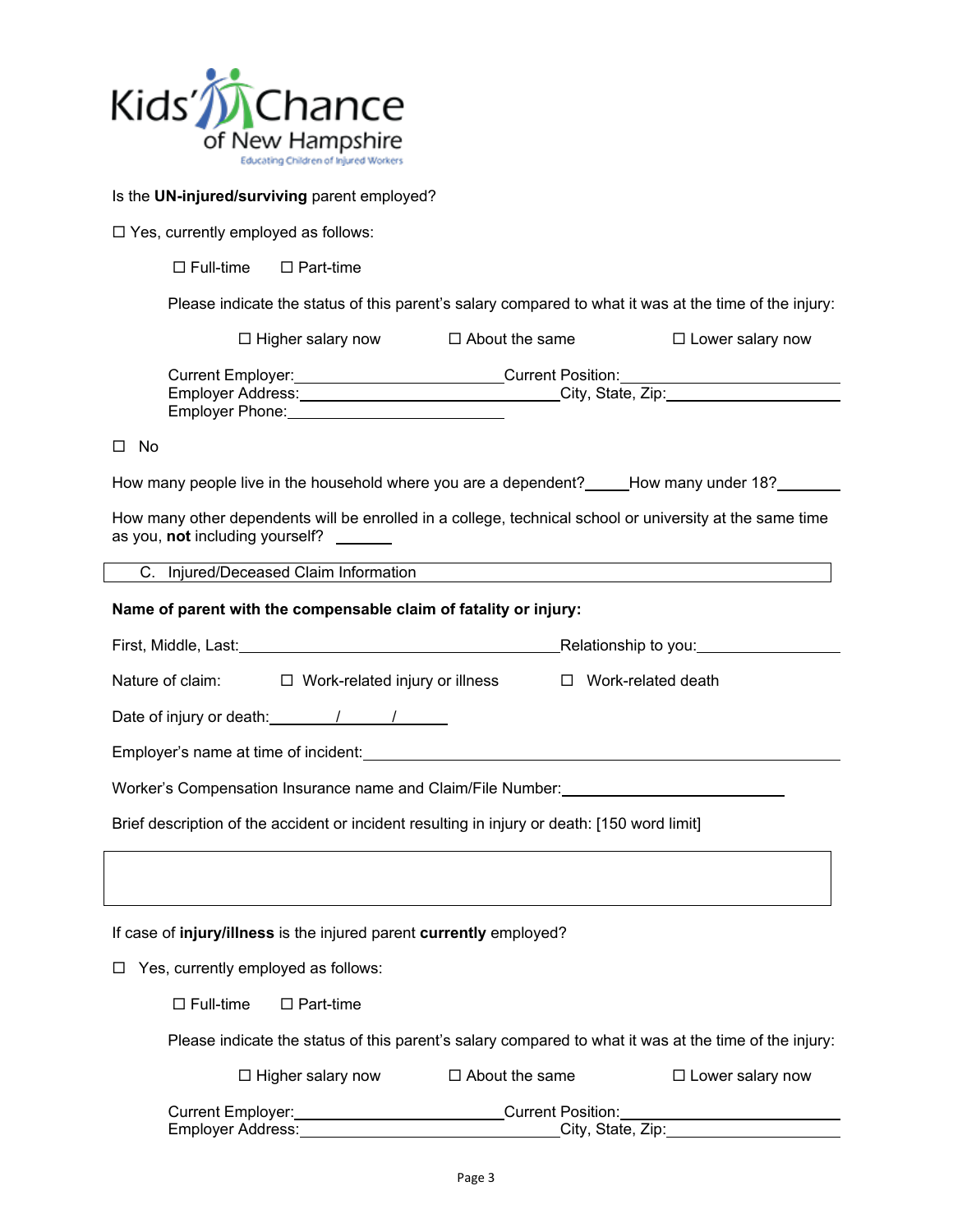

#### Is the **UN-injured/surviving** parent employed?

□ Yes, currently employed as follows:

 $\Box$  Full-time  $\Box$  Part-time

Please indicate the status of this parent's salary compared to what it was at the time of the injury:

|                                                                                                                                             | $\Box$ Higher salary now $\Box$ About the same | $\Box$ Lower salary now |  |
|---------------------------------------------------------------------------------------------------------------------------------------------|------------------------------------------------|-------------------------|--|
| Current Employer: _________________________Current Position: ___________________                                                            |                                                |                         |  |
| No.<br>$\perp$                                                                                                                              |                                                |                         |  |
| How many people live in the household where you are a dependent? How many under 18?                                                         |                                                |                         |  |
| How many other dependents will be enrolled in a college, technical school or university at the same time<br>as you, not including yourself? |                                                |                         |  |
| C. Injured/Deceased Claim Information                                                                                                       |                                                |                         |  |
| Name of parent with the compensable claim of fatality or injury:                                                                            |                                                |                         |  |
| First. Middle. Last:                                                                                                                        |                                                | Relationship to you:    |  |

| Nature of claim: □ Work-related injury or illness □ Work-related death                                        |
|---------------------------------------------------------------------------------------------------------------|
| Date of injury or death: 1 1 1                                                                                |
|                                                                                                               |
| Worker's Compensation Insurance name and Claim/File Number: Version Company of the Company of the World Claim |
| Brief description of the accident or incident resulting in injury or death: [150 word limit]                  |
|                                                                                                               |
|                                                                                                               |
| If case of injury/illness is the injured parent currently employed?                                           |
| $\Box$ Yes, currently employed as follows:                                                                    |
| $\Box$ Full-time $\Box$ Part-time                                                                             |
| Please indicate the status of this parent's salary compared to what it was at the time of the injury:         |

| $\Box$ Higher salary now | $\Box$ About the same | $\Box$ Lower salary now |
|--------------------------|-----------------------|-------------------------|
| Current Employer:        | Current Position:     |                         |
| Employer Address:        | City, State, Zip:     |                         |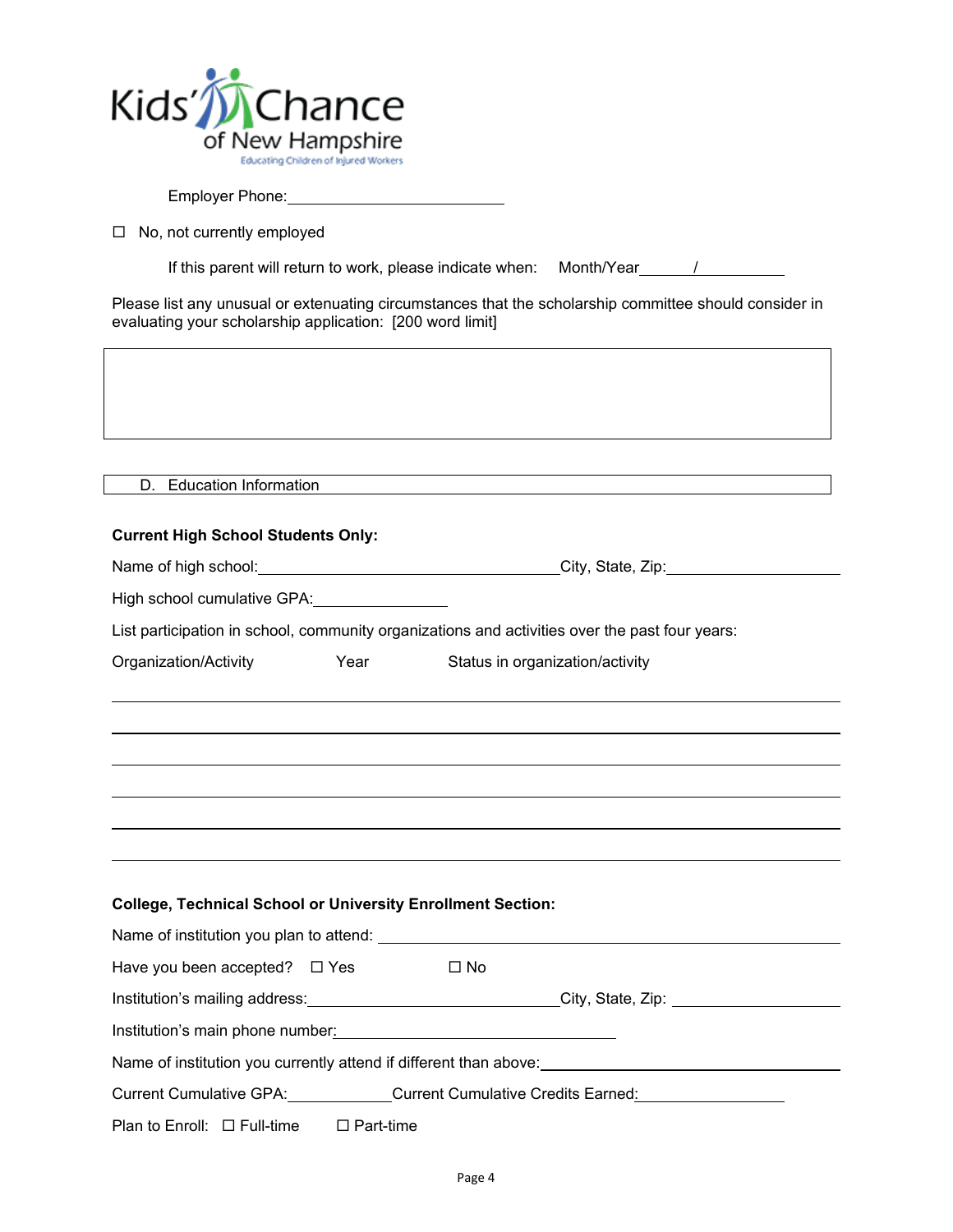

Employer Phone:

 $\Box$  No, not currently employed

If this parent will return to work, please indicate when: Month/Year /

Please list any unusual or extenuating circumstances that the scholarship committee should consider in evaluating your scholarship application: [200 word limit]

|--|

## **Current High School Students Only:**

| Name of high school: | City, State, Zip: |
|----------------------|-------------------|
|----------------------|-------------------|

High school cumulative GPA: **William School** 

List participation in school, community organizations and activities over the past four years:

| Organization/Activity | Year |                                 |
|-----------------------|------|---------------------------------|
|                       |      | Status in organization/activity |

### **College, Technical School or University Enrollment Section:**

| Name of institution you plan to attend:                           |      |                                               |  |
|-------------------------------------------------------------------|------|-----------------------------------------------|--|
| Have you been accepted? $\Box$ Yes                                | □ No |                                               |  |
| Institution's mailing address:<br><u>mailing</u> address:         |      | City, State, Zip: etc. And City, State, 2014. |  |
| Institution's main phone number:                                  |      |                                               |  |
| Name of institution you currently attend if different than above: |      |                                               |  |
| <b>Current Cumulative GPA:</b>                                    |      | <b>Current Cumulative Credits Earned:</b>     |  |

Plan to Enroll:  $\Box$  Full-time  $\Box$  Part-time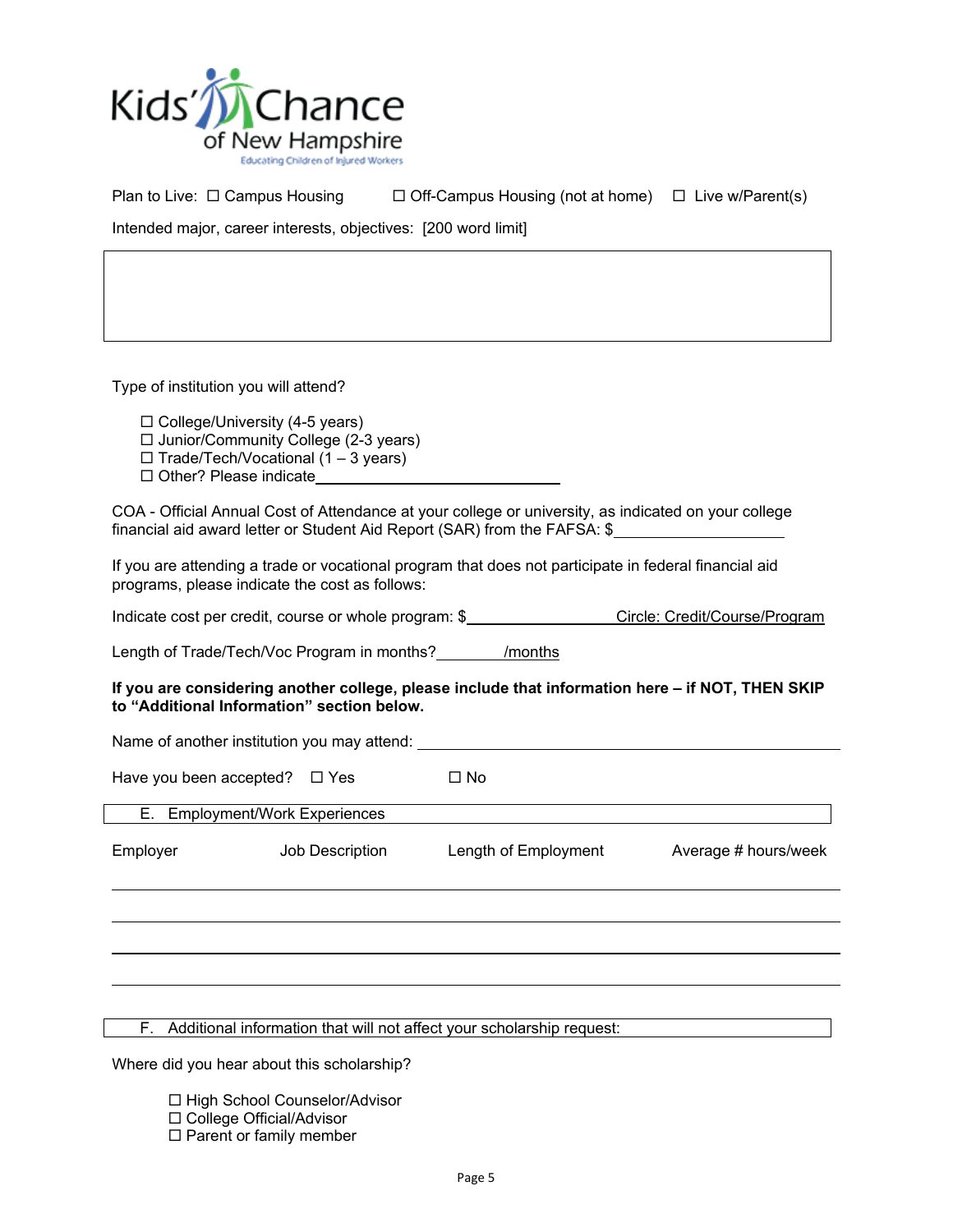

Plan to Live:  $\Box$  Campus Housing  $\Box$  Off-Campus Housing (not at home)  $\Box$  Live w/Parent(s)

Intended major, career interests, objectives: [200 word limit]

Type of institution you will attend?

 $\Box$  College/University (4-5 years)

 $\Box$  Junior/Community College (2-3 years)

 $\Box$  Trade/Tech/Vocational (1 – 3 years)

□ Other? Please indicate

COA - Official Annual Cost of Attendance at your college or university, as indicated on your college financial aid award letter or Student Aid Report (SAR) from the FAFSA: \$

If you are attending a trade or vocational program that does not participate in federal financial aid programs, please indicate the cost as follows:

Indicate cost per credit, course or whole program: \$ Circle: Credit/Course/Program

Length of Trade/Tech/Voc Program in months? \_\_\_\_\_\_\_\_ /months

### **If you are considering another college, please include that information here – if NOT, THEN SKIP to "Additional Information" section below.**

Name of another institution you may attend:

Have you been accepted?  $\Box$  Yes  $\Box$  No

E. Employment/Work Experiences

| Employer | Job Description | Length of Employment | Average # hours/week |
|----------|-----------------|----------------------|----------------------|
|          |                 |                      |                      |

F. Additional information that will not affect your scholarship request:

Where did you hear about this scholarship?

□ High School Counselor/Advisor

- □ College Official/Advisor
- $\square$  Parent or family member